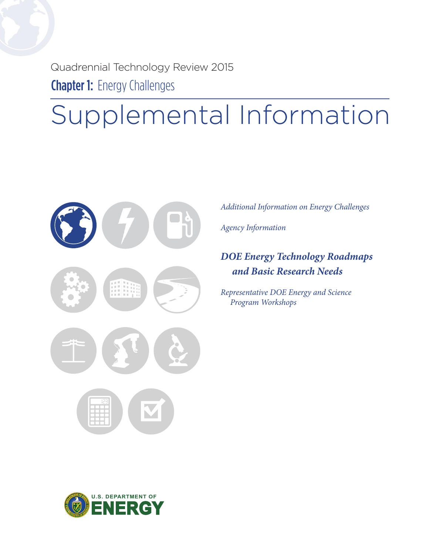Quadrennial Technology Review 2015 **Chapter 1: Energy Challenges** 

# Supplemental Information



*Additional Information on Energy Challenges* 

*Agency Information*

### *DOE Energy Technology Roadmaps and Basic Research Needs*

*Representative DOE Energy and Science Program Workshops* 

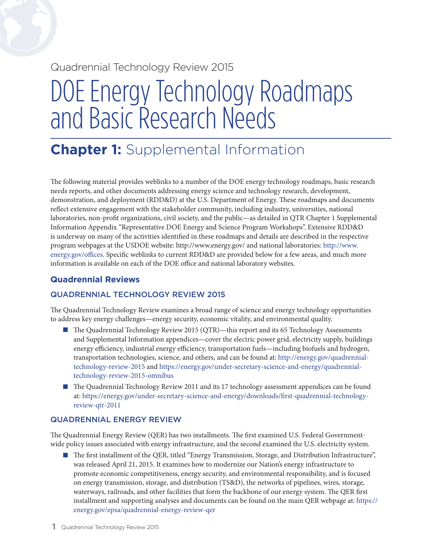### Quadrennial Technology Review 2015

## DOE Energy Technology Roadmaps and Basic Research Needs

## **Chapter 1:** Supplemental Information

The following material provides weblinks to a number of the DOE energy technology roadmaps, basic research needs reports, and other documents addressing energy science and technology research, development, demonstration, and deployment (RDD&D) at the U.S. Department of Energy. These roadmaps and documents reflect extensive engagement with the stakeholder community, including industry, universities, national laboratories, non-profit organizations, civil society, and the public—as detailed in QTR Chapter 1 Supplemental Information Appendix "Representative DOE Energy and Science Program Workshops". Extensive RDD&D is underway on many of the activities identified in these roadmaps and details are described in the respective program webpages at the USDOE website:<http://www.energy.gov>/ and national laboratories: [http://www.](http://www.energy.gov/offices) [energy.gov/offices.](http://www.energy.gov/offices) Specific weblinks to current RDD&D are provided below for a few areas, and much more information is available on each of the DOE office and national laboratory websites.

#### **Quadrennial Reviews**

#### QUADRENNIAL TECHNOLOGY REVIEW 2015

The Quadrennial Technology Review examines a broad range of science and energy technology opportunities to address key energy challenges—energy security, economic vitality, and environmental quality.

- The Quadrennial Technology Review 2015 (QTR)—this report and its 65 Technology Assessments and Supplemental Information appendices—cover the electric power grid, electricity supply, buildings energy efficiency, industrial energy efficiency, transportation fuels—including biofuels and hydrogen, transportation technologies, science, and others, and can be found at: [http://energy.gov/quadrennial](http://energy.gov/quadrennial-technology-review-2015)technology-review-2015 and [https://energy.gov/under-secretary-science-and-energy/quadrennial](https://energy.gov/under-secretary-science-and-energy/quadrennial-technology-review-2015-omnibus)technology-review-2015-omnibus
- The Quadrennial Technology Review 2011 and its 17 technology assessment appendices can be found at: [https://energy.gov/under-secretary-science-and-energy/downloads/first-](https://energy.gov/under-secretary-science-and-energy/downloads/first-quadrennial-technology-review-qtr-2011)quadrennial-technologyreview-qtr-2011

#### QUADRENNIAL ENERGY REVIEW

The Quadrennial Energy Review (QER) has two installments. The first examined U.S. Federal Governmentwide policy issues associated with energy infrastructure, and the second examined the U.S. electricity system.

 The first installment of the QER, titled "Energy Transmission, Storage, and Distribution Infrastructure", was released April 21, 2015. It examines how to modernize our Nation's energy infrastructure to promote economic competitiveness, energy security, and environmental responsibility, and is focused on energy transmission, storage, and distribution (TS&D), the networks of pipelines, wires, storage, waterways, railroads, and other facilities that form the backbone of our energy system. The QER first installment and supporting analyses and documents can be found on the main QER webpage at: [https://](https://energy.gov/epsa/quadrennial-energy-review-qer) [energy.gov/epsa/quadrennial](https://energy.gov/epsa/quadrennial-energy-review-qer)-energy-review-qer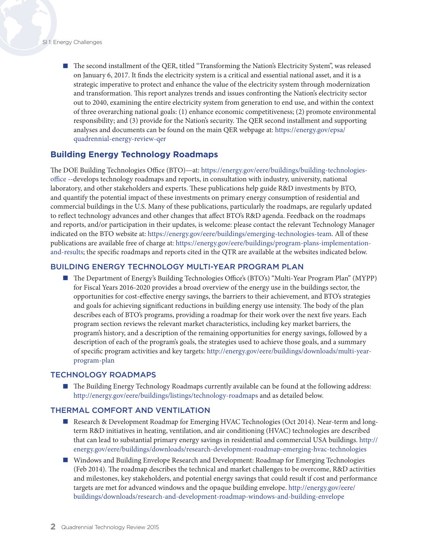■ The second installment of the QER, titled "Transforming the Nation's Electricity System", was released on January 6, 2017. It finds the electricity system is a critical and essential national asset, and it is a strategic imperative to protect and enhance the value of the electricity system through modernization and transformation. This report analyzes trends and issues confronting the Nation's electricity sector out to 2040, examining the entire electricity system from generation to end use, and within the context of three overarching national goals: (1) enhance economic competitiveness; (2) promote environmental responsibility; and (3) provide for the Nation's security. The QER second installment and supporting analyses and documents can be found on the main QER webpage at: [https://energy.gov/epsa/](https://energy.gov/epsa/quadrennial-energy-review-qer) [quadrennial-](https://energy.gov/epsa/quadrennial-energy-review-qer)energy-review-qer

#### **Building Energy Technology Roadmaps**

The DOE Building Technologies Office (BTO)—at:<https://energy.gov/eere/buildings/building>-technologiesoffice --develops technology roadmaps and reports, in consultation with industry, university, national laboratory, and other stakeholders and experts. These publications help guide R&D investments by BTO, and quantify the potential impact of these investments on primary energy consumption of residential and commercial buildings in the U.S. Many of these publications, particularly the roadmaps, are regularly updated to reflect technology advances and other changes that affect BTO's R&D agenda. Feedback on the roadmaps and reports, and/or participation in their updates, is welcome: please contact the relevant Technology Manager indicated on the BTO website at: <https://energy.gov/eere/buildings/emerging-technologies-team>. All of these publications are available free of charge at: [https://energy.gov/eere/buildings/program](https://energy.gov/eere/buildings/program-plans-implementation-and-results)-plans-implementationand-results; the specific roadmaps and reports cited in the QTR are available at the websites indicated below.

#### BUILDING ENERGY TECHNOLOGY MULTI-YEAR PROGRAM PLAN

 The Department of Energy's Building Technologies Office's (BTO's) "Multi-Year Program Plan" (MYPP) for Fiscal Years 2016-2020 provides a broad overview of the energy use in the buildings sector, the opportunities for cost-effective energy savings, the barriers to their achievement, and BTO's strategies and goals for achieving significant reductions in building energy use intensity. The body of the plan describes each of BTO's programs, providing a roadmap for their work over the next five years. Each program section reviews the relevant market characteristics, including key market barriers, the program's history, and a description of the remaining opportunities for energy savings, followed by a description of each of the program's goals, the strategies used to achieve those goals, and a summary of specific program activities and key targets: [http://energy.gov/eere/buildings/downloads/multi](http://energy.gov/eere/buildings/downloads/multi-year-program-plan)-yearprogram-plan

#### TECHNOLOGY ROADMAPS

**The Building Energy Technology Roadmaps currently available can be found at the following address:** <http://energy.gov/eere/buildings/listings/technology-roadmaps> and as detailed below.

#### THERMAL COMFORT AND VENTILATION

- Research & Development Roadmap for Emerging HVAC Technologies (Oct 2014). Near-term and longterm R&D initiatives in heating, ventilation, and air conditioning (HVAC) technologies are described that can lead to substantial primary energy savings in residential and commercial USA buildings. [http://](http://energy.gov/eere/buildings/downloads/research-development-roadmap-emerging-hvac-technologies) [energy.gov/eere/buildings/downloads/research-](http://energy.gov/eere/buildings/downloads/research-development-roadmap-emerging-hvac-technologies)development-roadmap-emerging-hvac-technologies
- Windows and Building Envelope Research and Development: Roadmap for Emerging Technologies (Feb 2014). The roadmap describes the technical and market challenges to be overcome, R&D activities and milestones, key stakeholders, and potential energy savings that could result if cost and performance targets are met for advanced windows and the opaque building envelope. [http://energy.gov/eere/](http://energy.gov/eere/buildings/downloads/research-and-development-roadmap-windows-and-building-envelope) [buildings/downloads/research-and-development-roadmap-windows-and-building-envelope](http://energy.gov/eere/buildings/downloads/research-and-development-roadmap-windows-and-building-envelope)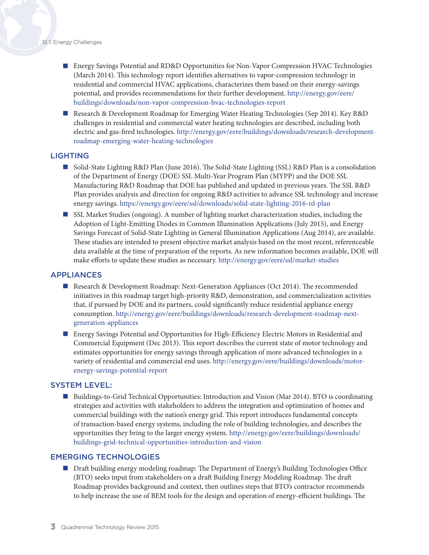- Energy Savings Potential and RD&D Opportunities for Non-Vapor Compression HVAC Technologies (March 2014). This technology report identifies alternatives to vapor-compression technology in residential and commercial HVAC applications, characterizes them based on their energy-savings potential, and provides recommendations for their further development. [http://energy.gov/eere/](http://energy.gov/eere/buildings/downloads/non-vapor-compression-hvac-technologies-report) [buildings/downloads/non-vapor-compression-hvac-technologies-report](http://energy.gov/eere/buildings/downloads/non-vapor-compression-hvac-technologies-report)
- Research & Development Roadmap for Emerging Water Heating Technologies (Sep 2014). Key R&D challenges in residential and commercial water heating technologies are described, including both electric and gas-fired technologies. [http://energy.gov/eere/buildings/downloads/research-](http://energy.gov/eere/buildings/downloads/research-development-roadmap-emerging-water-heating-technologies
)developmentroadmap-emerging-water-heating-technologies

#### LIGHTING

- Solid-State Lighting R&D Plan (June 2016). The Solid-State Lighting (SSL) R&D Plan is a consolidation of the Department of Energy (DOE) SSL Multi-Year Program Plan (MYPP) and the DOE SSL Manufacturing R&D Roadmap that DOE has published and updated in previous years. The SSL R&D Plan provides analysis and direction for ongoing R&D activities to advance SSL technology and increase energy savings. [https://energy.gov/eere/ssl/downloads/solid-](https://energy.gov/eere/ssl/downloads/solid-state-lighting-2016-rd-plan)state-lighting-2016-rd-plan
- SSL Market Studies (ongoing). A number of lighting market characterization studies, including the Adoption of Light-Emitting Diodes in Common Illumination Applications (July 2015), and Energy Savings Forecast of Solid-State Lighting in General Illumination Applications (Aug 2014), are available. These studies are intended to present objective market analysis based on the most recent, referenceable data available at the time of preparation of the reports. As new information becomes available, DOE will make efforts to update these studies as necessary. [http://energy.gov/eere/ssl/market-](http://energy.gov/eere/ssl/market)studies

#### APPLIANCES

- Research & Development Roadmap: Next-Generation Appliances (Oct 2014). The recommended initiatives in this roadmap target high-priority R&D, demonstration, and commercialization activities that, if pursued by DOE and its partners, could significantly reduce residential appliance energy consumption. [http://energy.gov/eere/buildings/downloads/research-](http://energy.gov/eere/buildings/downloads/research-development-roadmap-next-generation-appliances)development-roadmap-nextgeneration-appliances
- Energy Savings Potential and Opportunities for High-Efficiency Electric Motors in Residential and Commercial Equipment (Dec 2013). This report describes the current state of motor technology and estimates opportunities for energy savings through application of more advanced technologies in a variety of residential and commercial end uses. [http://energy.gov/eere/buildings/downloads/motor](http://energy.gov/eere/buildings/downloads/motor-energy-savings-potential-report)energy-savings-potential-report

#### SYSTEM LEVEL:

**Buildings-to-Grid Technical Opportunities: Introduction and Vision (Mar 2014). BTO is coordinating** strategies and activities with stakeholders to address the integration and optimization of homes and commercial buildings with the nation's energy grid. This report introduces fundamental concepts of transaction-based energy systems, including the role of building technologies, and describes the opportunities they bring to the larger energy system. [http://energy.gov/eere/buildings/downloads/](http://energy.gov/eere/buildings/downloads/buildings-grid-technical-opportunities-introduction-and-vision) [buildings-grid-technical-opportunities-introduction-and-vision](http://energy.gov/eere/buildings/downloads/buildings-grid-technical-opportunities-introduction-and-vision)

#### EMERGING TECHNOLOGIES

**Depart Draft building energy modeling roadmap: The Department of Energy's Building Technologies Office** (BTO) seeks input from stakeholders on a draft Building Energy Modeling Roadmap. The draft Roadmap provides background and context, then outlines steps that BTO's contractor recommends to help increase the use of BEM tools for the design and operation of energy-efficient buildings. The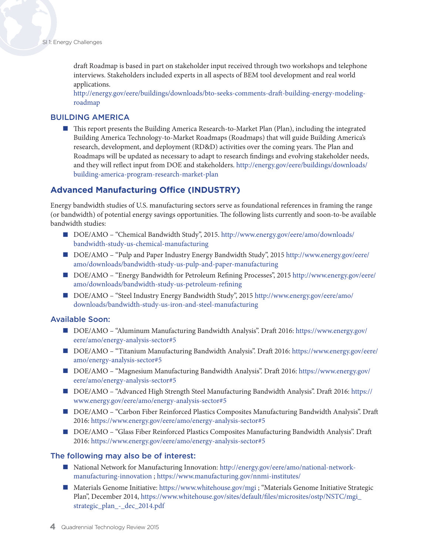draft Roadmap is based in part on stakeholder input received through two workshops and telephone interviews. Stakeholders included experts in all aspects of BEM tool development and real world applications.

[http://energy.gov/eere/buildings/downloads/bto-seeks-comments-draft-building-energy-modeling](http://energy.gov/eere/buildings/downloads/bto-seeks-comments-draft-building-energy-modeling-roadmap)[roadmap](http://energy.gov/eere/buildings/downloads/bto-seeks-comments-draft-building-energy-modeling-roadmap)

#### BUILDING AMERICA

 This report presents the Building America Research-to-Market Plan (Plan), including the integrated Building America Technology-to-Market Roadmaps (Roadmaps) that will guide Building America's research, development, and deployment (RD&D) activities over the coming years. The Plan and Roadmaps will be updated as necessary to adapt to research findings and evolving stakeholder needs, and they will reflect input from DOE and stakeholders. [http://energy.gov/eere/buildings/downloads/](http://energy.gov/eere/buildings/downloads/building-america-program-research-market-plan) [building-america-program-research-market-plan](http://energy.gov/eere/buildings/downloads/building-america-program-research-market-plan)

#### **Advanced Manufacturing Office (INDUSTRY)**

Energy bandwidth studies of U.S. manufacturing sectors serve as foundational references in framing the range (or bandwidth) of potential energy savings opportunities. The following lists currently and soon-to-be available bandwidth studies:

- DOE/AMO "Chemical Bandwidth Study", 2015. [http://www.energy.gov/eere/amo/downloads/](http://www.energy.gov/eere/amo/downloads/bandwidth-study-us-chemical-manufacturing) [bandwidth-study-us-chemical-manufacturing](http://www.energy.gov/eere/amo/downloads/bandwidth-study-us-chemical-manufacturing)
- DOE/AMO "Pulp and Paper Industry Energy Bandwidth Study", 2015 [http://www.energy.gov/eere/](http://www.energy.gov/eere/amo/downloads/bandwidth-study-us-pulp-and-paper-manufacturing) [amo/downloads/bandwidth-study-us-pulp-and-paper-manufacturing](http://www.energy.gov/eere/amo/downloads/bandwidth-study-us-pulp-and-paper-manufacturing)
- DOE/AMO "Energy Bandwidth for Petroleum Refining Processes", 2015 [http://www.energy.gov/eere/](http://www.energy.gov/eere/amo/downloads/bandwidth-study-us-petroleum-refining) [amo/downloads/bandwidth-study-us-petroleum-refining](http://www.energy.gov/eere/amo/downloads/bandwidth-study-us-petroleum-refining)
- DOE/AMO "Steel Industry Energy Bandwidth Study", 2015 [http://www.energy.gov/eere/amo/](http://www.energy.gov/eere/amo/downloads/bandwidth-study-us-iron-and-steel-manufacturing) [downloads/bandwidth-study-us-iron-and-steel-manufacturing](http://www.energy.gov/eere/amo/downloads/bandwidth-study-us-iron-and-steel-manufacturing)

#### Available Soon:

- DOE/AMO "Aluminum Manufacturing Bandwidth Analysis". Draft 2016: [https://www.energy.gov/](https://www.energy.gov/eere/amo/energy-analysis-sector#5) [eere/amo/energy-analysis-sector#5](https://www.energy.gov/eere/amo/energy-analysis-sector#5)
- DOE/AMO "Titanium Manufacturing Bandwidth Analysis". Draft 2016: [https://www.energy.gov/eere/](https://www.energy.gov/eere/amo/energy-analysis-sector#5) [amo/energy-analysis-sector#5](https://www.energy.gov/eere/amo/energy-analysis-sector#5)
- DOE/AMO "Magnesium Manufacturing Bandwidth Analysis". Draft 2016: [https://www.energy.gov/](https://www.energy.gov/eere/amo/energy-analysis-sector#5) [eere/amo/energy-analysis-sector#5](https://www.energy.gov/eere/amo/energy-analysis-sector#5)
- DOE/AMO "Advanced High Strength Steel Manufacturing Bandwidth Analysis". Draft 2016: [https://](https://www.energy.gov/eere/amo/energy-analysis-sector#5) [www.energy.gov/eere/amo/energy-analysis-sector#5](https://www.energy.gov/eere/amo/energy-analysis-sector#5)
- DOE/AMO "Carbon Fiber Reinforced Plastics Composites Manufacturing Bandwidth Analysis". Draft 2016: <https://www.energy.gov/eere/amo/energy-analysis-sector#5>
- DOE/AMO "Glass Fiber Reinforced Plastics Composites Manufacturing Bandwidth Analysis". Draft 2016: <https://www.energy.gov/eere/amo/energy-analysis-sector#5>

#### The following may also be of interest:

- National Network for Manufacturing Innovation: [http://energy.gov/eere/amo/national-](http://energy.gov/eere/amo/national-network-manufacturing-innovation)networkmanufacturing-innovation ; [https://www.manufacturing.gov/nnmi](https://www.manufacturing.gov/nnmi-institutes/)-institutes/
- Materials Genome Initiative:<https://www.whitehouse.gov/mgi>; "Materials Genome Initiative Strategic Plan", December 2014, [https://www.whitehouse.gov/sites/default/files/microsites/ostp/NSTC/mgi\\_](https://www.whitehouse.gov/sites/default/files/microsites/ostp/NSTC/mgi_strategic_plan_-_dec_2014.pdf) [strategic\\_plan\\_-\\_dec\\_2014.pdf](https://www.whitehouse.gov/sites/default/files/microsites/ostp/NSTC/mgi_strategic_plan_-_dec_2014.pdf)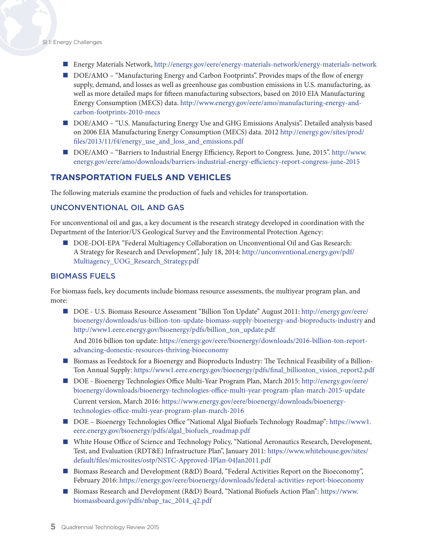- Energy Materials Network,<http://energy.gov/eere/energy-materials-network/energy-materials-network>
- DOE/AMO "Manufacturing Energy and Carbon Footprints". Provides maps of the flow of energy supply, demand, and losses as well as greenhouse gas combustion emissions in U.S. manufacturing, as well as more detailed maps for fifteen manufacturing subsectors, based on 2010 EIA Manufacturing Energy Consumption (MECS) data. [http://www.energy.gov/eere/amo/manufacturing-](http://www.energy.gov/eere/amo/manufacturing-energy-and-carbon-footprints-2010-mecs)energy-andcarbon-footprints-2010-mecs
- DOE/AMO "U.S. Manufacturing Energy Use and GHG Emissions Analysis". Detailed analysis based on 2006 EIA Manufacturing Energy Consumption (MECS) data. 2012 [http://energy.gov/sites/prod/](http://energy.gov/sites/prod/files/2013/11/f4/energy_use_and_loss_and_emissions.pdf) [files/2013/11/f4/energy\\_use\\_and\\_loss\\_and\\_emissions.pdf](http://energy.gov/sites/prod/files/2013/11/f4/energy_use_and_loss_and_emissions.pdf)
- DOE/AMO "Barriers to Industrial Energy Efficiency, Report to Congress. June, 2015". [http://www.](http://www.energy.gov/eere/amo/downloads/barriers-industrial-energy-efficiency-report-congress-june-2015) [energy.gov/eere/amo/downloads/barriers-industrial-energy-efficiency-report-congress-june-2015](http://www.energy.gov/eere/amo/downloads/barriers-industrial-energy-efficiency-report-congress-june-2015)

#### **TRANSPORTATION FUELS AND VEHICLES**

The following materials examine the production of fuels and vehicles for transportation.

#### UNCONVENTIONAL OIL AND GAS

For unconventional oil and gas, a key document is the research strategy developed in coordination with the Department of the Interior/US Geological Survey and the Environmental Protection Agency:

DOE-DOI-EPA "Federal Multiagency Collaboration on Unconventional Oil and Gas Research: A Strategy for Research and Development", July 18, 2014: [http://unconventional.energy.gov/pdf/](http://unconventional.energy.gov/pdf/Multiagency_UOG_Research_Strategy.pdf) [Multiagency\\_UOG\\_Research\\_Strategy.pdf](http://unconventional.energy.gov/pdf/Multiagency_UOG_Research_Strategy.pdf) 

#### BIOMASS FUELS

For biomass fuels, key documents include biomass resource assessments, the multiyear program plan, and more:

■ DOE - U.S. Biomass Resource Assessment "Billion Ton Update" August 2011: [http://energy.gov/eere/](http://energy.gov/eere/bioenergy/downloads/us-billion-ton-update-biomass-supply-bioenergy-and-bioproducts-industry) [bioenergy/downloads/us-billion-ton-update-biomass-supply-bioenergy-and-bioproducts-industry](http://energy.gov/eere/bioenergy/downloads/us-billion-ton-update-biomass-supply-bioenergy-and-bioproducts-industry) and [http://www1.eere.energy.gov/bioenergy/pdfs/billion\\_ton\\_update.pdf](http://www1.eere.energy.gov/bioenergy/pdfs/billion_ton_update.pdf)

And 2016 billion ton update: [https://energy.gov/eere/bioenergy/downloads/2016-billion-ton-report](https://energy.gov/eere/bioenergy/downloads/2016-billion-ton-report-advancing-domestic-resources-thriving-bioeconomy)[advancing-domestic-resources-thriving-bioeconomy](https://energy.gov/eere/bioenergy/downloads/2016-billion-ton-report-advancing-domestic-resources-thriving-bioeconomy)

- **Biomass as Feedstock for a Bioenergy and Bioproducts Industry: The Technical Feasibility of a Billion-**Ton Annual Supply: [https://www1.eere.energy.gov/bioenergy/pdfs/final\\_billionton\\_vision\\_report2.pdf](https://www1.eere.energy.gov/bioenergy/pdfs/final_billionton_vision_report2.pdf)
- DOE Bioenergy Technologies Office Multi-Year Program Plan, March 2015: [http://energy.gov/eere/](http://energy.gov/eere/bioenergy/downloads/bioenergy-technologies-office-multi-year-program-plan-march-2015-update) [bioenergy/downloads/bioenergy-technologies-office-multi-year-program-plan-march-2015-update](http://energy.gov/eere/bioenergy/downloads/bioenergy-technologies-office-multi-year-program-plan-march-2015-update) Current version, March 2016: [https://www.energy.gov/eere/bioenergy/downloads/bioenergy](https://www.energy.gov/eere/bioenergy/downloads/bioenergy-technologies-office-multi-year-program-plan-march-2016)technologies-office-multi-year-program-plan-march-2016
- DOE Bioenergy Technologies Office "National Algal Biofuels Technology Roadmap": [https://www1.](https://www1.eere.energy.gov/bioenergy/pdfs/algal_biofuels_roadmap.pdf) [eere.energy.gov/bioenergy/pdfs/algal\\_biofuels\\_roadmap.pdf](https://www1.eere.energy.gov/bioenergy/pdfs/algal_biofuels_roadmap.pdf)
- White House Office of Science and Technology Policy, "National Aeronautics Research, Development, Test, and Evaluation (RDT&E) Infrastructure Plan", January 2011: [https://www.whitehouse.gov/sites/](https://www.whitehouse.gov/sites/default/files/microsites/ostp/NSTC-Approved-IPlan-04Jan2011.pdf) [default/files/microsites/ostp/NSTC-Approved-IPlan-04Jan2011.pdf](https://www.whitehouse.gov/sites/default/files/microsites/ostp/NSTC-Approved-IPlan-04Jan2011.pdf)
- Biomass Research and Development (R&D) Board, "Federal Activities Report on the Bioeconomy", February 2016:<https://energy.gov/eere/bioenergy/downloads/federal-activities-report-bioeconomy>
- Biomass Research and Development (R&D) Board, "National Biofuels Action Plan": [https://www.](https://www.biomassboard.gov/pdfs/nbap_tac_2014_q2.pdf) [biomassboard.gov/pdfs/nbap\\_tac\\_2014\\_q2.pdf](https://www.biomassboard.gov/pdfs/nbap_tac_2014_q2.pdf)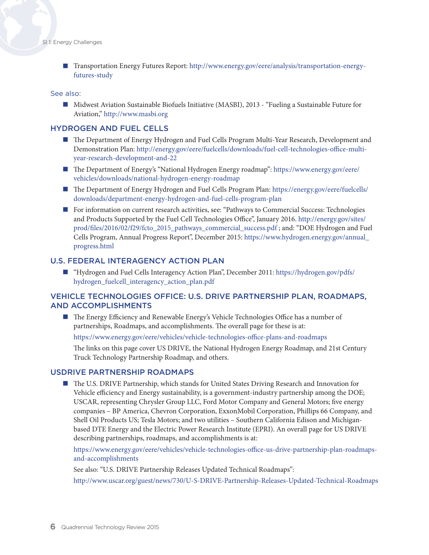Transportation Energy Futures Report: [http://www.energy.gov/eere/analysis/transportation](http://www.energy.gov/eere/analysis/transportation-energy-futures-study)-energyfutures-study

#### See also:

■ Midwest Aviation Sustainable Biofuels Initiative (MASBI), 2013 - "Fueling a Sustainable Future for Aviation,"<http://www.masbi.org>

#### HYDROGEN AND FUEL CELLS

- The Department of Energy Hydrogen and Fuel Cells Program Multi-Year Research, Development and Demonstration Plan: [http://energy.gov/eere/fuelcells/downloads/fuel](http://energy.gov/eere/fuelcells/downloads/fuel-cell-technologies-office-multi-year-research-development-and-22)-cell-technologies-office-multiyear-research-development-and-22
- The Department of Energy's "National Hydrogen Energy roadmap": [https://www.energy.gov/eere/](https://www.energy.gov/eere/vehicles/downloads/national-hydrogen-energy-roadmap) [vehicles/downloads/national-hydrogen-energy-roadmap](https://www.energy.gov/eere/vehicles/downloads/national-hydrogen-energy-roadmap)
- The Department of Energy Hydrogen and Fuel Cells Program Plan: [https://energy.gov/eere/fuelcells/](https://energy.gov/eere/fuelcells/downloads/department-energy-hydrogen-and-fuel-cells-program-plan) [downloads/department-energy-hydrogen-and-fuel-cells-program-plan](https://energy.gov/eere/fuelcells/downloads/department-energy-hydrogen-and-fuel-cells-program-plan)
- For information on current research activities, see: "Pathways to Commercial Success: Technologies and Products Supported by the Fuel Cell Technologies Office", January 2016. [http://energy.gov/sites/](http://energy.gov/sites/prod/files/2016/02/f29/fcto_2015_pathways_commercial_success.pdf) [prod/files/2016/02/f29/fcto\\_2015\\_pathways\\_commercial\\_success.pdf](http://energy.gov/sites/prod/files/2016/02/f29/fcto_2015_pathways_commercial_success.pdf) ; and: "DOE Hydrogen and Fuel Cells Program, Annual Progress Report", December 2015: [https://www.hydrogen.energy.gov/annual\\_](https://www.hydrogen.energy.gov/annual_progress.html) [progress.html](https://www.hydrogen.energy.gov/annual_progress.html)

#### U.S. FEDERAL INTERAGENCY ACTION PLAN

 "Hydrogen and Fuel Cells Interagency Action Plan", December 2011: [https://hydrogen.gov/pdfs/](https://hydrogen.gov/pdfs/hydrogen_fuelcell_interagency_action_plan.pdf) [hydrogen\\_fuelcell\\_interagency\\_action\\_plan.pdf](https://hydrogen.gov/pdfs/hydrogen_fuelcell_interagency_action_plan.pdf) 

#### VEHICLE TECHNOLOGIES OFFICE: U.S. DRIVE PARTNERSHIP PLAN, ROADMAPS, AND ACCOMPLISHMENTS

 The Energy Efficiency and Renewable Energy's Vehicle Technologies Office has a number of partnerships, Roadmaps, and accomplishments. The overall page for these is at: [https://www.energy.gov/eere/vehicles/vehicle](https://www.energy.gov/eere/vehicles/vehicle-technologies-office-plans-and-roadmaps)-technologies-office-plans-and-roadmaps

The links on this page cover US DRIVE, the National Hydrogen Energy Roadmap, and 21st Century Truck Technology Partnership Roadmap, and others.

#### USDRIVE PARTNERSHIP ROADMAPS

 The U.S. DRIVE Partnership, which stands for United States Driving Research and Innovation for Vehicle efficiency and Energy sustainability, is a government-industry partnership among the DOE; USCAR, representing Chrysler Group LLC, Ford Motor Company and General Motors; five energy companies – BP America, Chevron Corporation, ExxonMobil Corporation, Phillips 66 Company, and Shell Oil Products US; Tesla Motors; and two utilities – Southern California Edison and Michiganbased DTE Energy and the Electric Power Research Institute (EPRI). An overall page for US DRIVE describing partnerships, roadmaps, and accomplishments is at:

[https://www.energy.gov/eere/vehicles/vehicle](https://www.energy.gov/eere/vehicles/vehicle-technologies-office-us-drive-partnership-plan-roadmaps-and-accomplishments)-technologies-office-us-drive-partnership-plan-roadmapsand-accomplishments

See also: "U.S. DRIVE Partnership Releases Updated Technical Roadmaps":

[http://www.uscar.org/guest/news/730/](http://www.uscar.org/guest/news/730/U-S-DRIVE-Partnership-Releases-Updated-Technical-Roadmaps
)U-S-DRIVE-Partnership-Releases-Updated-Technical-Roadmaps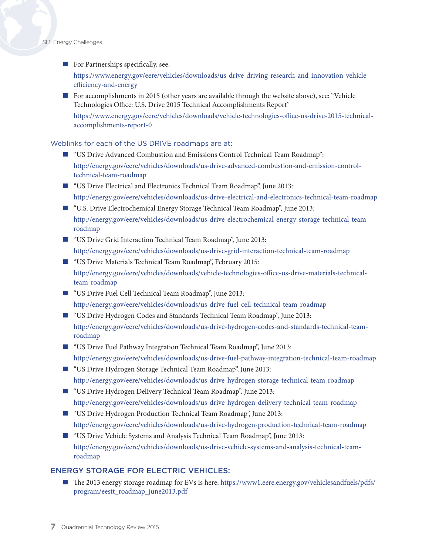#### SI 1: Energy Challenges

#### For Partnerships specifically, see:

[https://www.energy.gov/eere/vehicles/downloads/us-](https://www.energy.gov/eere/vehicles/downloads/us-drive-driving-research-and-innovation-vehicle-efficiency-and-energy)drive-driving-research-and-innovation-vehicleefficiency-and-energy

 For accomplishments in 2015 (other years are available through the website above), see: "Vehicle Technologies Office: U.S. Drive 2015 Technical Accomplishments Report" [https://www.energy.gov/eere/vehicles/downloads/vehicle-](https://www.energy.gov/eere/vehicles/downloads/vehicle-technologies-office-us-drive-2015-technical-accomplishments-report-0)technologies-office-us-drive-2015-technicalaccomplishments-report-0

#### Weblinks for each of the US DRIVE roadmaps are at:

- "US Drive Advanced Combustion and Emissions Control Technical Team Roadmap": [http://energy.gov/eere/vehicles/downloads/us-](http://energy.gov/eere/vehicles/downloads/us-drive-advanced-combustion-and-emission-control-technical-team-roadmap)drive-advanced-combustion-and-emission-controltechnical-team-roadmap
- "US Drive Electrical and Electronics Technical Team Roadmap", June 2013: [http://energy.gov/eere/vehicles/downloads/us-](http://energy.gov/eere/vehicles/downloads/us-drive-electrical-and-electronics-technical-team-roadmap)drive-electrical-and-electronics-technical-team-roadmap
- "U.S. Drive Electrochemical Energy Storage Technical Team Roadmap", June 2013: [http://energy.gov/eere/vehicles/downloads/us-drive-electrochemical-energy-storage-technical-team](http://energy.gov/eere/vehicles/downloads/us-drive-electrochemical-energy-storage-technical-team-roadmap)[roadmap](http://energy.gov/eere/vehicles/downloads/us-drive-electrochemical-energy-storage-technical-team-roadmap)
- "US Drive Grid Interaction Technical Team Roadmap", June 2013: [http://energy.gov/eere/vehicles/downloads/us-](http://energy.gov/eere/vehicles/downloads/us-drive-grid-interaction-technical-team-roadmap)drive-grid-interaction-technical-team-roadmap
- "US Drive Materials Technical Team Roadmap", February 2015: [http://energy.gov/eere/vehicles/downloads/vehicle](http://energy.gov/eere/vehicles/downloads/vehicle-technologies-office-us-drive-materials-technical-team-roadmap)-technologies-office-us-drive-materials-technicalteam-roadmap
- "US Drive Fuel Cell Technical Team Roadmap", June 2013: [http://energy.gov/eere/vehicles/downloads/us-](http://energy.gov/eere/vehicles/downloads/us-drive-fuel-cell-technical-team-roadmap)drive-fuel-cell-technical-team-roadmap
- "US Drive Hydrogen Codes and Standards Technical Team Roadmap", June 2013: [http://energy.gov/eere/vehicles/downloads/us-drive-hydrogen-codes-and-standards-technical-team](http://energy.gov/eere/vehicles/downloads/us-drive-hydrogen-codes-and-standards-technical-team-roadmap)[roadmap](http://energy.gov/eere/vehicles/downloads/us-drive-hydrogen-codes-and-standards-technical-team-roadmap)
- "US Drive Fuel Pathway Integration Technical Team Roadmap", June 2013: [http://energy.gov/eere/vehicles/downloads/us-](http://energy.gov/eere/vehicles/downloads/us-drive-fuel-pathway-integration-technical-team-roadmap)drive-fuel-pathway-integration-technical-team-roadmap
- "US Drive Hydrogen Storage Technical Team Roadmap", June 2013: [http://energy.gov/eere/vehicles/downloads/us-](http://energy.gov/eere/vehicles/downloads/us-drive-hydrogen-delivery-technical-team-roadmap)drive-hydrogen-storage-technical-team-roadmap
- "US Drive Hydrogen Delivery Technical Team Roadmap", June 2013: [http://energy.gov/eere/vehicles/downloads/us-](http://energy.gov/eere/vehicles/downloads/us-drive-hydrogen-delivery-technical-team-roadmap)drive-hydrogen-delivery-technical-team-roadmap
- "US Drive Hydrogen Production Technical Team Roadmap", June 2013: [http://energy.gov/eere/vehicles/downloads/us-](http://energy.gov/eere/vehicles/downloads/us-drive-hydrogen-production-technical-team-roadmap)drive-hydrogen-production-technical-team-roadmap
- "US Drive Vehicle Systems and Analysis Technical Team Roadmap", June 2013: [http://energy.gov/eere/vehicles/downloads/us-drive-vehicle-systems-and-analysis-technical-team](http://energy.gov/eere/vehicles/downloads/us-drive-vehicle-systems-and-analysis-technical-team-roadmap)[roadmap](http://energy.gov/eere/vehicles/downloads/us-drive-vehicle-systems-and-analysis-technical-team-roadmap)

#### ENERGY STORAGE FOR ELECTRIC VEHICLES:

■ The 2013 energy storage roadmap for EVs is here: [https://www1.eere.energy.gov/vehiclesandfuels/pdfs/](https://www1.eere.energy.gov/vehiclesandfuels/pdfs/program/eestt_roadmap_june2013.pdf ) [program/eestt\\_roadmap\\_june2013.pdf](https://www1.eere.energy.gov/vehiclesandfuels/pdfs/program/eestt_roadmap_june2013.pdf )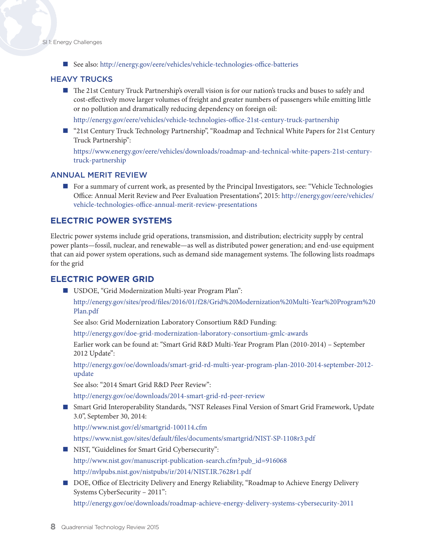■ See also: [http://energy.gov/eere/vehicles/vehicle-](http://energy.gov/eere/vehicles/vehicle-technologies-office-batteries)technologies-office-batteries

#### HEAVY TRUCKS

■ The 21st Century Truck Partnership's overall vision is for our nation's trucks and buses to safely and cost-effectively move larger volumes of freight and greater numbers of passengers while emitting little or no pollution and dramatically reducing dependency on foreign oil:

[http://energy.gov/eere/vehicles/vehicle](http://energy.gov/eere/vehicles/vehicle-technologies-office-21st-century-truck-partnership)-technologies-office-21st-century-truck-partnership

■ "21st Century Truck Technology Partnership", "Roadmap and Technical White Papers for 21st Century Truck Partnership":

[https://www.energy.gov/eere/vehicles/downloads/roadmap](https://www.energy.gov/eere/vehicles/downloads/roadmap-and-technical-white-papers-21st-century-truck-partnership)-and-technical-white-papers-21st-centurytruck-partnership

#### ANNUAL MERIT REVIEW

 For a summary of current work, as presented by the Principal Investigators, see: "Vehicle Technologies Office: Annual Merit Review and Peer Evaluation Presentations", 2015: [http://energy.gov/eere/vehicles/](http://energy.gov/eere/vehicles/vehicle-technologies-office-annual-merit-review-presentations) [vehicle-technologies-office-annual-merit-review-presentations](http://energy.gov/eere/vehicles/vehicle-technologies-office-annual-merit-review-presentations)

#### **ELECTRIC POWER SYSTEMS**

Electric power systems include grid operations, transmission, and distribution; electricity supply by central power plants—fossil, nuclear, and renewable—as well as distributed power generation; and end-use equipment that can aid power system operations, such as demand side management systems. The following lists roadmaps for the grid

#### **ELECTRIC POWER GRID**

■ USDOE, "Grid Modernization Multi-year Program Plan":

[http://energy.gov/sites/prod/files/2016/01/f28/Grid%20Modernization%20Multi-Year%20Program%20](http://energy.gov/sites/prod/files/2016/01/f28/Grid%20Modernization%20Multi-Year%20Program%20Plan.pdf) [Plan.pdf](http://energy.gov/sites/prod/files/2016/01/f28/Grid%20Modernization%20Multi-Year%20Program%20Plan.pdf)

See also: Grid Modernization Laboratory Consortium R&D Funding:

[http://energy.gov/doe](http://energy.gov/doe-grid-modernization-laboratory-consortium-gmlc-awards)-grid-modernization-laboratory-consortium-gmlc-awards

Earlier work can be found at: "Smart Grid R&D Multi-Year Program Plan (2010-2014) – September 2012 Update":

[http://energy.gov/oe/downloads/smart-](http://energy.gov/oe/downloads/smart-grid-rd-multi-year-program-plan-2010-2014-september-2012-update)grid-rd-multi-year-program-plan-2010-2014-september-2012 update

See also: "2014 Smart Grid R&D Peer Review":

[http://energy.gov/oe/downloads/2014-](http://energy.gov/oe/downloads/2014-smart-grid-rd-peer-review)smart-grid-rd-peer-review

 Smart Grid Interoperability Standards, "NST Releases Final Version of Smart Grid Framework, Update 3.0", September 30, 2014:

<http://www.nist.gov/el/smartgrid-100114.cfm>

<https://www.nist.gov/sites/default/files/documents/smartgrid/NIST-SP-1108r3.pdf>

- NIST, "Guidelines for Smart Grid Cybersecurity": [http://www.nist.gov/manuscript-publication-search.cfm?pub\\_id=916068](http://www.nist.gov/manuscript-publication-search.cfm?pub_id=916068)  <http://nvlpubs.nist.gov/nistpubs/ir/2014/NIST.IR.7628r1.pdf>
- DOE, Office of Electricity Delivery and Energy Reliability, "Roadmap to Achieve Energy Delivery Systems CyberSecurity – 2011":

[http://energy.gov/oe/downloads/roadmap](http://energy.gov/oe/downloads/roadmap-achieve-energy-delivery-systems-cybersecurity-2011)-achieve-energy-delivery-systems-cybersecurity-2011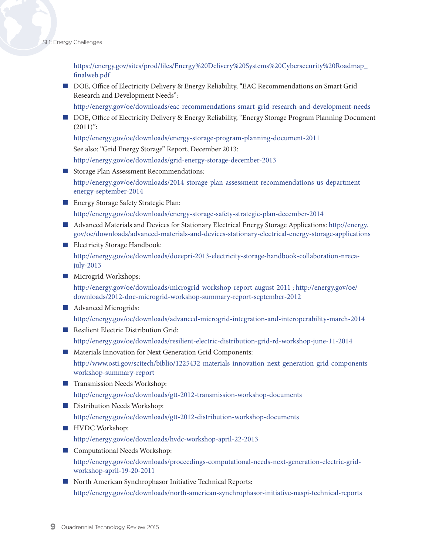[https://energy.gov/sites/prod/files/Energy%20Delivery%20Systems%20Cybersecurity%20Roadmap\\_](https://energy.gov/sites/prod/files/Energy%20Delivery%20Systems%20Cybersecurity%20Roadmap_finalweb.pdf) [finalweb.pdf](https://energy.gov/sites/prod/files/Energy%20Delivery%20Systems%20Cybersecurity%20Roadmap_finalweb.pdf) 

- DOE, Office of Electricity Delivery & Energy Reliability, "EAC Recommendations on Smart Grid Research and Development Needs":
	- [http://energy.gov/oe/downloads/eac](http://energy.gov/oe/downloads/eac-recommendations-smart-grid-research-and-development-needs)-recommendations-smart-grid-research-and-development-needs
- DOE, Office of Electricity Delivery & Energy Reliability, "Energy Storage Program Planning Document  $(2011)$ ":

[http://energy.gov/oe/downloads/energy-](http://energy.gov/oe/downloads/energy-storage-program-planning-document-2011)storage-program-planning-document-2011

See also: "Grid Energy Storage" Report, December 2013:

[http://energy.gov/oe/downloads/grid-](http://energy.gov/oe/downloads/grid-energy-storage-december-2013)energy-storage-december-2013

Storage Plan Assessment Recommendations:

[http://energy.gov/oe/downloads/2014-](http://energy.gov/oe/downloads/2014-storage-plan-assessment-recommendations-us-department-energy-september-2014)storage-plan-assessment-recommendations-us-departmentenergy-september-2014

- **Energy Storage Safety Strategic Plan:** [http://energy.gov/oe/downloads/energy-](http://energy.gov/oe/downloads/energy-storage-safety-strategic-plan-december-2014)storage-safety-strategic-plan-december-2014
- Advanced Materials and Devices for Stationary Electrical Energy Storage Applications: [http://energy.](http://energy.gov/oe/downloads/advanced-materials-and-devices-stationary-electrical-energy-storage-applications) [gov/oe/downloads/advanced-materials-and-devices-stationary-electrical-energy-storage-applications](http://energy.gov/oe/downloads/advanced-materials-and-devices-stationary-electrical-energy-storage-applications)
- **Electricity Storage Handbook:** [http://energy.gov/oe/downloads/doeepri-](http://energy.gov/oe/downloads/doeepri-2013-electricity-storage-handbook-collaboration-nreca-july-2013)2013-electricity-storage-handbook-collaboration-nrecajuly-2013
- **Microgrid Workshops:**

http://energy.gov/oe/downloads/microgrid-workshop-report-august-2011 ; http://energy.gov/oe/ downloads/2012-doe-microgrid-workshop-summary-report-september-2012

**Advanced Microgrids:** 

[http://energy.gov/oe/downloads/advanced](http://energy.gov/oe/downloads/advanced-microgrid-integration-and-interoperability-march-2014)-microgrid-integration-and-interoperability-march-2014

Resilient Electric Distribution Grid:

[http://energy.gov/oe/downloads/resilient](http://energy.gov/oe/downloads/resilient-electric-distribution-grid-rd-workshop-june-11-2014)-electric-distribution-grid-rd-workshop-june-11-2014

**Materials Innovation for Next Generation Grid Components:** 

[http://www.osti.gov/scitech/biblio/1225432-](http://www.osti.gov/scitech/biblio/1225432-materials-innovation-next-generation-grid-components-workshop-summary-report)materials-innovation-next-generation-grid-componentsworkshop-summary-report

- **Transmission Needs Workshop:** [http://energy.gov/oe/downloads/gtt-](http://energy.gov/oe/downloads/gtt-2012-distribution-workshop-documents)2012-transmission-workshop-documents
- Distribution Needs Workshop: [http://energy.gov/oe/downloads/gtt-](http://energy.gov/oe/downloads/gtt-2012-distribution-workshop-documents)2012-distribution-workshop-documents
- **HVDC** Workshop:

[http://energy.gov/oe/downloads/hvdc-](http://energy.gov/oe/downloads/hvdc-workshop-april-22-2013)workshop-april-22-2013

- Computational Needs Workshop: [http://energy.gov/oe/downloads/proceedings](http://energy.gov/oe/downloads/proceedings-computational-needs-next-generation-electric-grid-workshop-april-19-20-2011)-computational-needs-next-generation-electric-gridworkshop-april-19-20-2011
- North American Synchrophasor Initiative Technical Reports: [http://energy.gov/oe/downloads/north](http://energy.gov/oe/downloads/north-american-synchrophasor-initiative-naspi-technical-reports)-american-synchrophasor-initiative-naspi-technical-reports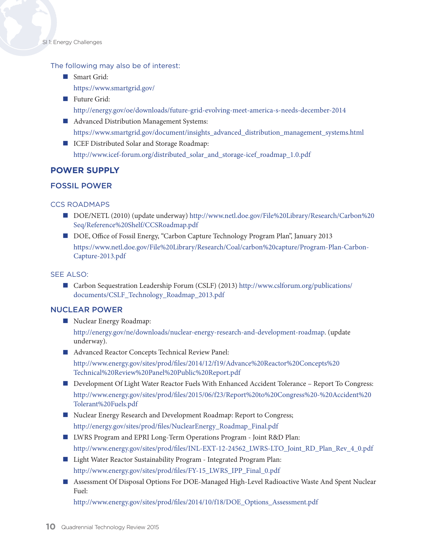#### The following may also be of interest:

- Smart Grid: <https://www.smartgrid.gov>/
- Future Grid: [http://energy.gov/oe/downloads/future](http://energy.gov/oe/downloads/future-grid-evolving-meet-america-s-needs-december-2014)-grid-evolving-meet-america-s-needs-december-2014
- Advanced Distribution Management Systems: [https://www.smartgrid.gov/document/insights\\_advanced\\_distribution\\_management\\_systems.html](https://www.smartgrid.gov/document/insights_advanced_distribution_management_systems.html)
- ICEF Distributed Solar and Storage Roadmap: [http://www.icef-forum.org/distributed\\_solar\\_and\\_storage-icef\\_roadmap\\_1.0.pdf](http://www.icef-forum.org/distributed_solar_and_storage-icef_roadmap_1.0.pdf)

#### **POWER SUPPLY**

#### FOSSIL POWER

#### CCS ROADMAPS

- DOE/NETL (2010) (update underway) [http://www.netl.doe.gov/File%20Library/Research/Carbon%20](http://www.netl.doe.gov/File%20Library/Research/Carbon%20Seq/Reference%20Shelf/CCSRoadmap.pdf) [Seq/Reference%20Shelf/CCSRoadmap.pdf](http://www.netl.doe.gov/File%20Library/Research/Carbon%20Seq/Reference%20Shelf/CCSRoadmap.pdf)
- DOE, Office of Fossil Energy, "Carbon Capture Technology Program Plan", January 2013 [https://www.netl.doe.gov/File%20Library/Research/Coal/carbon%20capture/Program-Plan-Carbon-](https://www.netl.doe.gov/File%20Library/Research/Coal/carbon%20capture/Program-Plan-Carbon-Capture-2013.pdf)[Capture-2013.pdf](https://www.netl.doe.gov/File%20Library/Research/Coal/carbon%20capture/Program-Plan-Carbon-Capture-2013.pdf)

#### SEE ALSO:

 Carbon Sequestration Leadership Forum (CSLF) (2013) [http://www.cslforum.org/publications/](http://www.cslforum.org/publications/documents/CSLF_Technology_Roadmap_2013.pdf) [documents/CSLF\\_Technology\\_Roadmap\\_2013.pdf](http://www.cslforum.org/publications/documents/CSLF_Technology_Roadmap_2013.pdf)

#### NUCLEAR POWER

Nuclear Energy Roadmap:

[http://energy.gov/ne/downloads/nuclear-](http://energy.gov/ne/downloads/nuclear-energy-research-and-development-roadmap)energy-research-and-development-roadmap. (update underway).

■ Advanced Reactor Concepts Technical Review Panel:

[http://www.energy.gov/sites/prod/files/2014/12/f19/Advance%20Reactor%20Concepts%20](http://www.energy.gov/sites/prod/files/2014/12/f19/Advance%20Reactor%20Concepts%20Technical%20Review%20Panel%20Public%20Report.pdf) [Technical%20Review%20Panel%20Public%20Report.pdf](http://www.energy.gov/sites/prod/files/2014/12/f19/Advance%20Reactor%20Concepts%20Technical%20Review%20Panel%20Public%20Report.pdf)

- Development Of Light Water Reactor Fuels With Enhanced Accident Tolerance Report To Congress: http://www.energy.gov/sites/prod/files/2015/06/f23/Report%20to%20Congress%20-%20Accident%20 Tolerant%20Fuels.pdf
- Nuclear Energy Research and Development Roadmap: Report to Congress; [http://energy.gov/sites/prod/files/NuclearEnergy\\_Roadmap\\_Final.pdf](http://energy.gov/sites/prod/files/NuclearEnergy_Roadmap_Final.pdf)
- LWRS Program and EPRI Long-Term Operations Program Joint R&D Plan: [http://www.energy.gov/sites/prod/files/INL-EXT-12-24562\\_LWRS-LTO\\_Joint\\_RD\\_Plan\\_Rev\\_4\\_0.pdf](http://www.energy.gov/sites/prod/files/INL-EXT-12-24562_LWRS-LTO_Joint_RD_Plan_Rev_4_0.pdf)
- Light Water Reactor Sustainability Program Integrated Program Plan: [http://www.energy.gov/sites/prod/files/FY-15\\_LWRS\\_IPP\\_Final\\_0.pdf](http://www.energy.gov/sites/prod/files/FY-15_LWRS_IPP_Final_0.pdf)
- Assessment Of Disposal Options For DOE-Managed High-Level Radioactive Waste And Spent Nuclear Fuel:

[http://www.energy.gov/sites/prod/files/2014/10/f18/DOE\\_Options\\_Assessment.pdf](http://www.energy.gov/sites/prod/files/2014/10/f18/DOE_Options_Assessment.pdf)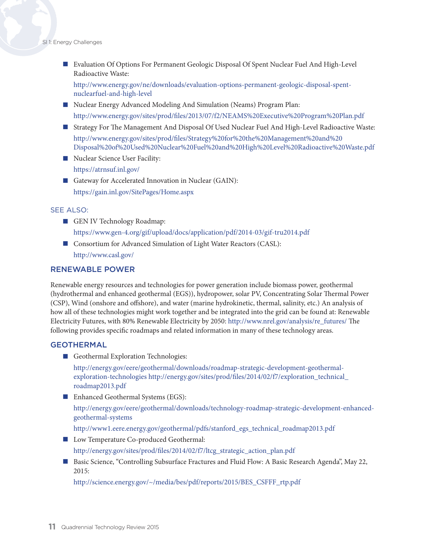Evaluation Of Options For Permanent Geologic Disposal Of Spent Nuclear Fuel And High-Level Radioactive Waste:

[http://www.energy.gov/ne/downloads/evaluation-](http://www.energy.gov/ne/downloads/evaluation-options-permanent-geologic-disposal-spent-nuclearfuel-and-high-level)options-permanent-geologic-disposal-spentnuclearfuel-and-high-level

- Nuclear Energy Advanced Modeling And Simulation (Neams) Program Plan: [http://www.energy.gov/sites/prod/files/2013/07/f2/NEAMS%](http://www.energy.gov/sites/prod/files/2013/07/f2/NEAMS%20Executive%20Program%20Plan.pdf)20Executive%20Program[%20Plan.pdf](http://www.energy.gov/sites/prod/files/2013/07/f2/NEAMS%20Executive%20Program%20Plan.pdf)
- Strategy For The Management And Disposal Of Used Nuclear Fuel And High-Level Radioactive Waste: [http://www.energy.gov/sites/prod/files/Strategy%20for%20the%20Management%20and%20](http://www.energy.gov/sites/prod/files/Strategy%20for%20the%20Management%20and%20Disposal%20of%20Used%20Nuclear%20Fuel%20and%20High%20Level%20Radioactive%20Waste.pdf) [Disposal%20of%20Used%20Nuclear%20Fuel%20and%20High%20Level%20Radioactive%20Waste.pdf](http://www.energy.gov/sites/prod/files/Strategy%20for%20the%20Management%20and%20Disposal%20of%20Used%20Nuclear%20Fuel%20and%20High%20Level%20Radioactive%20Waste.pdf)
- Nuclear Science User Facility: [https://atrnsuf.inl.gov/](https://atrnsuf.inl.gov)
- Gateway for Accelerated Innovation in Nuclear (GAIN): <https://gain.inl.gov/SitePages/Home.aspx>

#### SEE ALSO:

- GEN IV Technology Roadmap: <https://www.gen-4.org/gif/upload/docs/application/pdf/2014-03/gif-tru2014.pdf>
- Consortium for Advanced Simulation of Light Water Reactors (CASL): [http://www.casl.gov/](http://www.casl.gov)

#### RENEWABLE POWER

Renewable energy resources and technologies for power generation include biomass power, geothermal (hydrothermal and enhanced geothermal (EGS)), hydropower, solar PV, Concentrating Solar Thermal Power (CSP), Wind (onshore and offshore), and water (marine hydrokinetic, thermal, salinity, etc.) An analysis of how all of these technologies might work together and be integrated into the grid can be found at: Renewable Electricity Futures, with 80% Renewable Electricity by 2050: [http://www.nrel.gov/analysis/re\\_futures/](http://www.nrel.gov/analysis/re_futures) The following provides specific roadmaps and related information in many of these technology areas.

#### **GEOTHERMAL**

Geothermal Exploration Technologies:

[http://energy.gov/eere/geothermal/downloads/roadmap-strategic-development-geothermal](http://energy.gov/eere/geothermal/downloads/roadmap-strategic-development-geothermal-exploration-technologies)[exploration-technologies](http://energy.gov/eere/geothermal/downloads/roadmap-strategic-development-geothermal-exploration-technologies) [http://energy.gov/sites/prod/files/2014/02/f7/exploration\\_technical\\_](http://energy.gov/sites/prod/files/2014/02/f7/exploration_technical_roadmap2013.pdf) [roadmap2013.pdf](http://energy.gov/sites/prod/files/2014/02/f7/exploration_technical_roadmap2013.pdf)

■ Enhanced Geothermal Systems (EGS):

[http://energy.gov/eere/geothermal/downloads/technology-roadmap-strategic-development-enhanced](http://energy.gov/eere/geothermal/downloads/technology-roadmap-strategic-development-enhanced-geothermal-systems)[geothermal-systems](http://energy.gov/eere/geothermal/downloads/technology-roadmap-strategic-development-enhanced-geothermal-systems)

[http://www1.eere.energy.gov/geothermal/pdfs/stanford\\_egs\\_technical\\_roadmap2013.pdf](http://www1.eere.energy.gov/geothermal/pdfs/stanford_egs_technical_roadmap2013.pdf)

- **Low Temperature Co-produced Geothermal:** [http://energy.gov/sites/prod/files/2014/02/f7/ltcg\\_strategic\\_action\\_plan.pdf](http://energy.gov/sites/prod/files/2014/02/f7/ltcg_strategic_action_plan.pdf)
- Basic Science, "Controlling Subsurface Fractures and Fluid Flow: A Basic Research Agenda", May 22, 2015:

[http://science.energy.gov/~/media/bes/pdf/reports/2015/BES\\_CSFFF\\_rtp.pdf](http://science.energy.gov/~/media/bes/pdf/reports/2015/BES_CSFFF_rtp.pdf)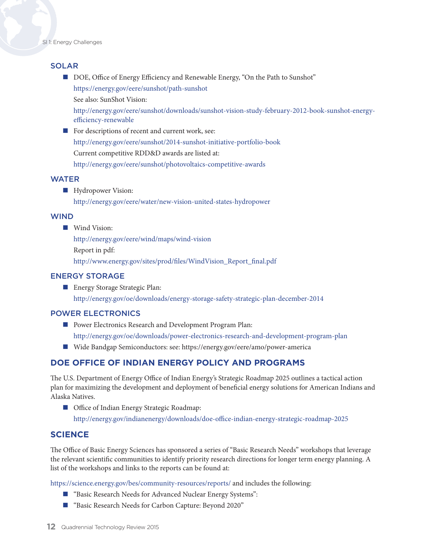#### **SOLAR**

DOE, Office of Energy Efficiency and Renewable Energy, "On the Path to Sunshot" [https://energy.gov/eere/sunshot/path-](https://energy.gov/eere/sunshot/path-sunshot)sunshot See also: SunShot Vision:

[http://energy.gov/eere/sunshot/downloads/sunshot-](http://energy.gov/eere/sunshot/downloads/sunshot-vision-study-february-2012-book-sunshot-energy-efficiency-renewable)vision-study-february-2012-book-sunshot-energyefficiency-renewable

For descriptions of recent and current work, see: [http://energy.gov/eere/sunshot/2014](http://energy.gov/eere/sunshot/2014-sunshot-initiative-portfolio-book)-sunshot-initiative-portfolio-book Current competitive RDD&D awards are listed at: [http://energy.gov/eere/sunshot/photovoltaics-](http://energy.gov/eere/sunshot/photovoltaics-competitive-awards)competitive-awards

#### WATER

**Hydropower Vision:** 

[http://energy.gov/eere/water/new-](http://energy.gov/eere/water/new-vision-united-states-hydropower)vision-united-states-hydropower

#### WIND

■ Wind Vision:

[http://energy.gov/eere/wind/maps/wind](http://energy.gov/eere/wind/maps/wind-vision)-vision Report in pdf: [http://www.energy.gov/sites/prod/files/WindVision\\_Report\\_final.pdf](http://www.energy.gov/sites/prod/files/WindVision_Report_final.pdf)

#### ENERGY STORAGE

**Energy Storage Strategic Plan:** [http://energy.gov/oe/downloads/energy-](http://energy.gov/oe/downloads/energy-storage-safety-strategic-plan-december-2014)storage-safety-strategic-plan-december-2014

#### POWER ELECTRONICS

- **Power Electronics Research and Development Program Plan:** [http://energy.gov/oe/downloads/power-](http://energy.gov/oe/downloads/power-electronics-research-and-development-program-plan)electronics-research-and-development-program-plan
- Wide Bandgap Semiconductors: see: https://energy.gov/eere/amo/power-america

#### **DOE OFFICE OF INDIAN ENERGY POLICY AND PROGRAMS**

The U.S. Department of Energy Office of Indian Energy's Strategic Roadmap 2025 outlines a tactical action plan for maximizing the development and deployment of beneficial energy solutions for American Indians and Alaska Natives.

■ Office of Indian Energy Strategic Roadmap: <http://energy.gov/indianenergy/downloads/doe-office-indian-energy-strategic-roadmap-2025>

#### **SCIENCE**

The Office of Basic Energy Sciences has sponsored a series of "Basic Research Needs" workshops that leverage the relevant scientific communities to identify priority research directions for longer term energy planning. A list of the workshops and links to the reports can be found at:

<https://science.energy.gov/bes/community-resources/reports>/ and includes the following:

- "Basic Research Needs for Advanced Nuclear Energy Systems":
- "Basic Research Needs for Carbon Capture: Beyond 2020"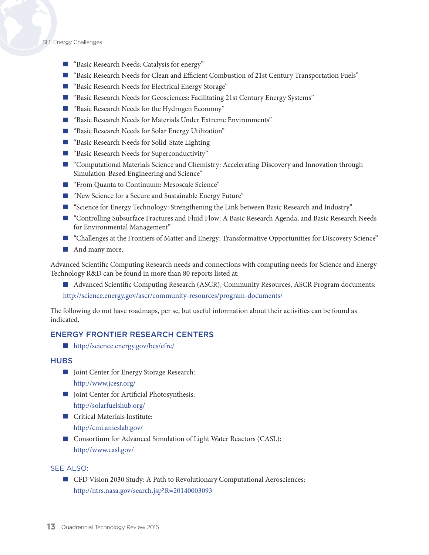SI 1: Energy Challenges

- "Basic Research Needs: Catalysis for energy"
- "Basic Research Needs for Clean and Efficient Combustion of 21st Century Transportation Fuels"
- "Basic Research Needs for Electrical Energy Storage"
- "Basic Research Needs for Geosciences: Facilitating 21st Century Energy Systems"
- "Basic Research Needs for the Hydrogen Economy"
- "Basic Research Needs for Materials Under Extreme Environments"
- "Basic Research Needs for Solar Energy Utilization"
- "Basic Research Needs for Solid-State Lighting
- "Basic Research Needs for Superconductivity"
- **T** "Computational Materials Science and Chemistry: Accelerating Discovery and Innovation through Simulation-Based Engineering and Science"
- "From Quanta to Continuum: Mesoscale Science"
- "New Science for a Secure and Sustainable Energy Future"
- **EXECUTE:** "Science for Energy Technology: Strengthening the Link between Basic Research and Industry"
- "Controlling Subsurface Fractures and Fluid Flow: A Basic Research Agenda, and Basic Research Needs for Environmental Management"
- "Challenges at the Frontiers of Matter and Energy: Transformative Opportunities for Discovery Science"
- **And many more.**

Advanced Scientific Computing Research needs and connections with computing needs for Science and Energy Technology R&D can be found in more than 80 reports listed at:

 Advanced Scientific Computing Research (ASCR), Community Resources, ASCR Program documents: <http://science.energy.gov/ascr/community-resources/program-documents/>

The following do not have roadmaps, per se, but useful information about their activities can be found as indicated.

#### ENERGY FRONTIER RESEARCH CENTERS

■ [http://science.energy.gov/bes/efrc/](http://science.energy.gov/bes/efrc)

#### **HUBS**

- Joint Center for Energy Storage Research: [http://www.jcesr.org/](http://www.jcesr.org)
- Joint Center for Artificial Photosynthesis: [http://solarfuelshub.org/](http://solarfuelshub.org)
- Critical Materials Institute: <http://cmi.ameslab.gov>/
- Consortium for Advanced Simulation of Light Water Reactors (CASL): <http://www.casl.gov/>

#### SEE ALSO:

■ CFD Vision 2030 Study: A Path to Revolutionary Computational Aerosciences: <http://ntrs.nasa.gov/search.jsp?R=20140003093>